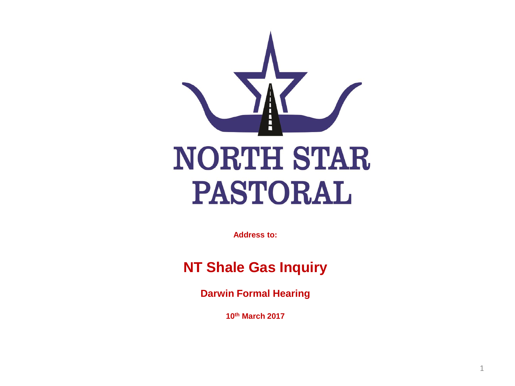

**Address to:** 

#### **NT Shale Gas Inquiry**

**Darwin Formal Hearing**

**10th March 2017**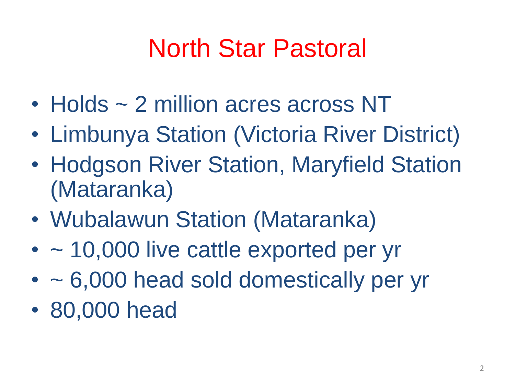## North Star Pastoral

- Holds ~ 2 million acres across NT
- Limbunya Station (Victoria River District)
- Hodgson River Station, Maryfield Station (Mataranka)
- Wubalawun Station (Mataranka)
- $\cdot$  ~ 10,000 live cattle exported per yr
- ~ 6,000 head sold domestically per yr
- 80,000 head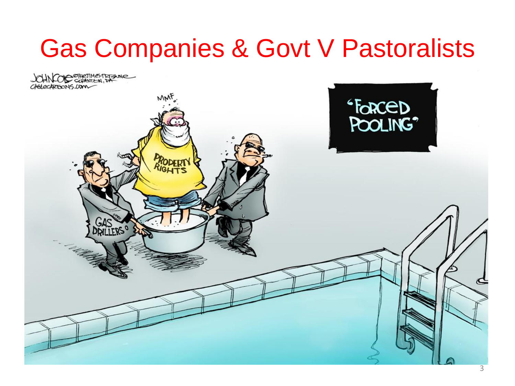#### Gas Companies & Govt V Pastoralists

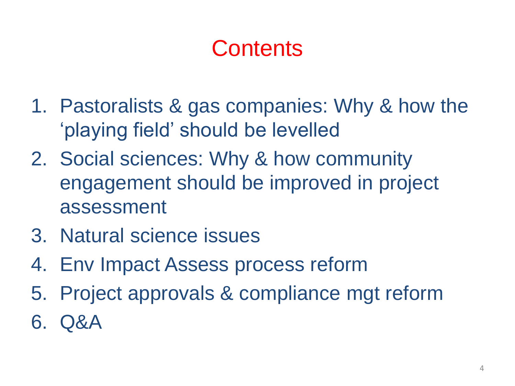#### **Contents**

- 1. Pastoralists & gas companies: Why & how the 'playing field' should be levelled
- 2. Social sciences: Why & how community engagement should be improved in project assessment
- 3. Natural science issues
- 4. Env Impact Assess process reform
- 5. Project approvals & compliance mgt reform
- 6. Q&A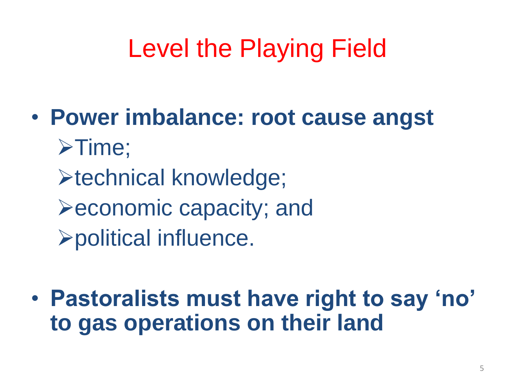# Level the Playing Field

- **Power imbalance: root cause angst**  $\triangleright$  Time; **Extechnical knowledge;**  $\blacktriangleright$  economic capacity; and political influence.
- **Pastoralists must have right to say 'no' to gas operations on their land**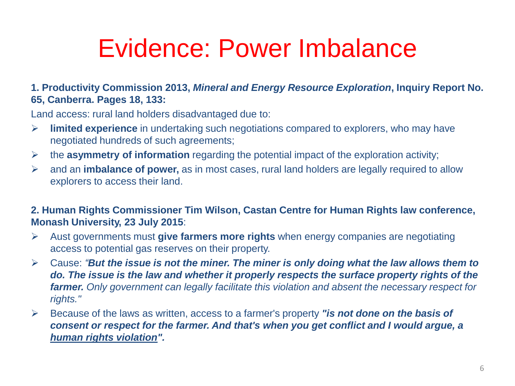#### Evidence: Power Imbalance

#### **1. Productivity Commission 2013,** *Mineral and Energy Resource Exploration***, Inquiry Report No. 65, Canberra. Pages 18, 133:**

Land access: rural land holders disadvantaged due to:

- **limited experience** in undertaking such negotiations compared to explorers, who may have negotiated hundreds of such agreements;
- the **asymmetry of information** regarding the potential impact of the exploration activity;
- and an **imbalance of power,** as in most cases, rural land holders are legally required to allow explorers to access their land.

#### **2. Human Rights Commissioner Tim Wilson, Castan Centre for Human Rights law conference, Monash University, 23 July 2015**:

- Aust governments must **give farmers more rights** when energy companies are negotiating access to potential gas reserves on their property.
- Cause: *"But the issue is not the miner. The miner is only doing what the law allows them to do. The issue is the law and whether it properly respects the surface property rights of the farmer. Only government can legally facilitate this violation and absent the necessary respect for rights."*
- Because of the laws as written, access to a farmer's property *"is not done on the basis of consent or respect for the farmer. And that's when you get conflict and I would argue, a human rights violation".*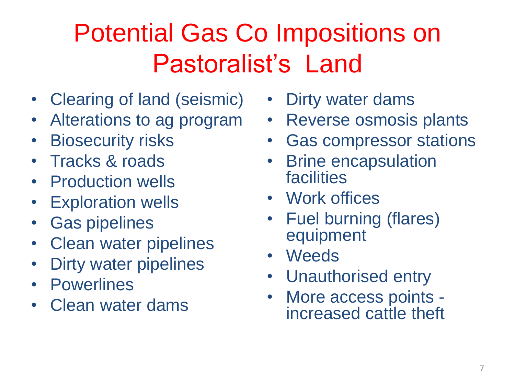# Potential Gas Co Impositions on Pastoralist's Land

- Clearing of land (seismic)
- Alterations to ag program
- **Biosecurity risks**
- Tracks & roads
- Production wells
- Exploration wells
- Gas pipelines
- Clean water pipelines
- Dirty water pipelines
- Powerlines
- Clean water dams
- Dirty water dams
- Reverse osmosis plants
- Gas compressor stations
- Brine encapsulation facilities
- Work offices
- Fuel burning (flares) equipment
- Weeds
- Unauthorised entry
- More access points increased cattle theft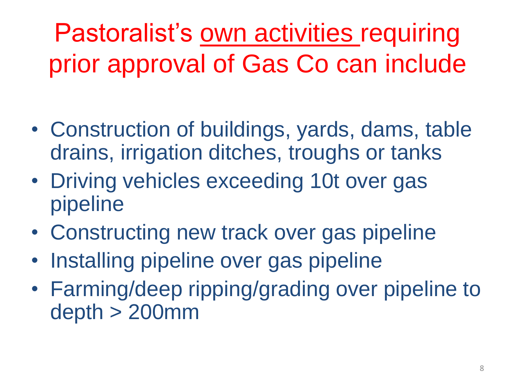Pastoralist's own activities requiring prior approval of Gas Co can include

- Construction of buildings, yards, dams, table drains, irrigation ditches, troughs or tanks
- Driving vehicles exceeding 10t over gas pipeline
- Constructing new track over gas pipeline
- Installing pipeline over gas pipeline
- Farming/deep ripping/grading over pipeline to depth > 200mm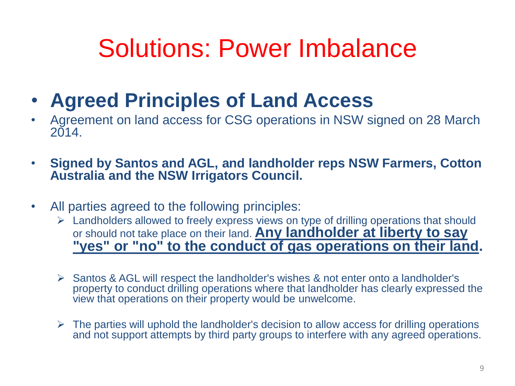#### Solutions: Power Imbalance

- **Agreed Principles of Land Access**
- Agreement on land access for CSG operations in NSW signed on 28 March 2014.
- **Signed by Santos and AGL, and landholder reps NSW Farmers, Cotton Australia and the NSW Irrigators Council.**
- All parties agreed to the following principles:
	- $\triangleright$  Landholders allowed to freely express views on type of drilling operations that should or should not take place on their land. **Any landholder at liberty to say "yes" or "no" to the conduct of gas operations on their land.**
	- $\triangleright$  Santos & AGL will respect the landholder's wishes & not enter onto a landholder's property to conduct drilling operations where that landholder has clearly expressed the view that operations on their property would be unwelcome.
	- $\triangleright$  The parties will uphold the landholder's decision to allow access for drilling operations and not support attempts by third party groups to interfere with any agreed operations.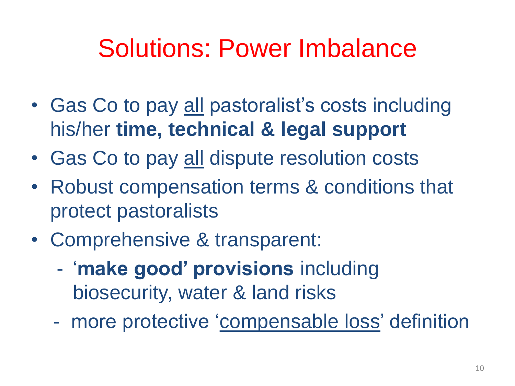#### Solutions: Power Imbalance

- Gas Co to pay all pastoralist's costs including his/her **time, technical & legal support**
- Gas Co to pay all dispute resolution costs
- Robust compensation terms & conditions that protect pastoralists
- Comprehensive & transparent:
	- '**make good' provisions** including biosecurity, water & land risks
	- more protective 'compensable loss' definition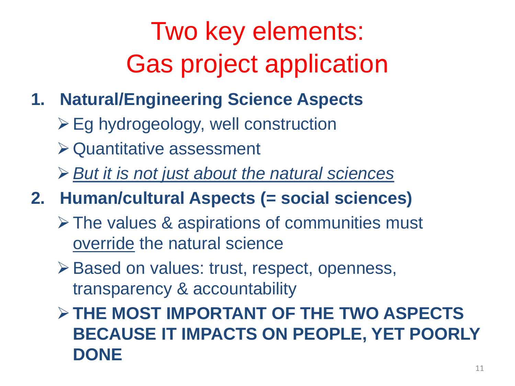# Two key elements: Gas project application

- **1. Natural/Engineering Science Aspects** 
	- $\triangleright$  Eg hydrogeology, well construction
	- Quantitative assessment
	- *But it is not just about the natural sciences*
- **2. Human/cultural Aspects (= social sciences)**
	- **≻ The values & aspirations of communities must** override the natural science
	- ▶ Based on values: trust, respect, openness, transparency & accountability
	- **THE MOST IMPORTANT OF THE TWO ASPECTS BECAUSE IT IMPACTS ON PEOPLE, YET POORLY DONE**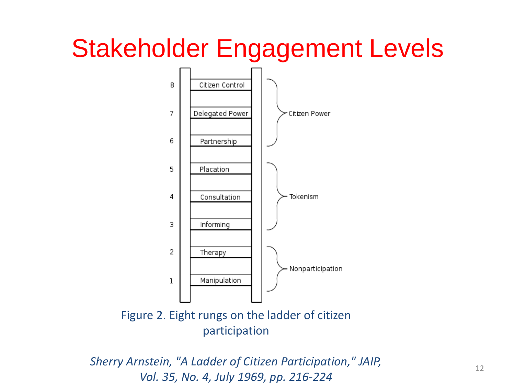#### Stakeholder Engagement Levels



Figure 2. Eight rungs on the ladder of citizen participation

*Sherry Arnstein, "A Ladder of Citizen Participation," JAIP, Vol. 35, No. 4, July 1969, pp. 216-224*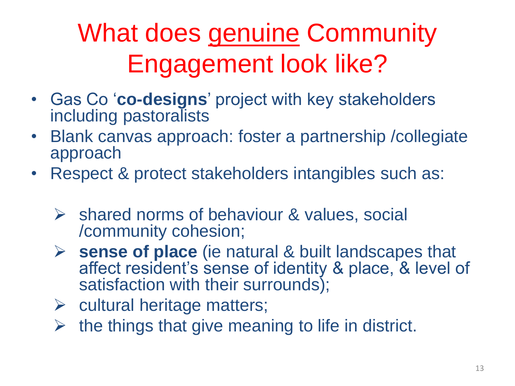# What does genuine Community Engagement look like?

- Gas Co '**co-designs**' project with key stakeholders including pastoralists
- Blank canvas approach: foster a partnership /collegiate approach
- Respect & protect stakeholders intangibles such as:
	- $\triangleright$  shared norms of behaviour & values, social /community cohesion;
	- **sense of place** (ie natural & built landscapes that affect resident's sense of identity & place, & level of satisfaction with their surrounds);
	- $\triangleright$  cultural heritage matters;
	- $\triangleright$  the things that give meaning to life in district.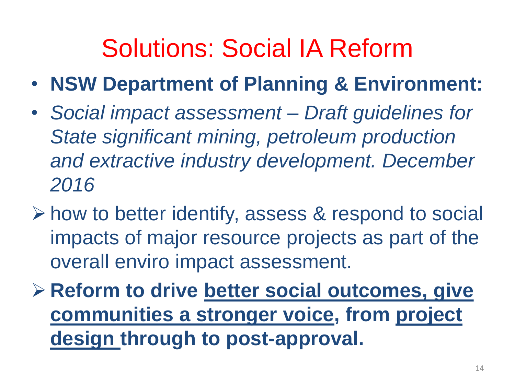## Solutions: Social IA Reform

- **NSW Department of Planning & Environment:**
- *Social impact assessment – Draft guidelines for State significant mining, petroleum production and extractive industry development. December 2016*
- how to better identify, assess & respond to social impacts of major resource projects as part of the overall enviro impact assessment.
- **≻ Reform to drive better social outcomes, give communities a stronger voice, from project design through to post-approval.**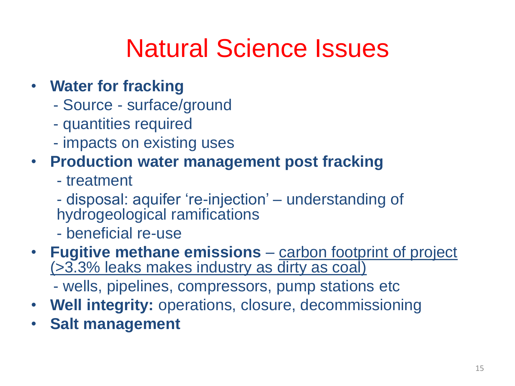## Natural Science Issues

- **Water for fracking**
	- Source surface/ground
	- quantities required
	- impacts on existing uses

#### • **Production water management post fracking**

- treatment

- disposal: aquifer 're-injection' – understanding of hydrogeological ramifications

- beneficial re-use
- **Fugitive methane emissions**  carbon footprint of project (>3.3% leaks makes industry as dirty as coal)
	- wells, pipelines, compressors, pump stations etc
- **Well integrity:** operations, closure, decommissioning
- **Salt management**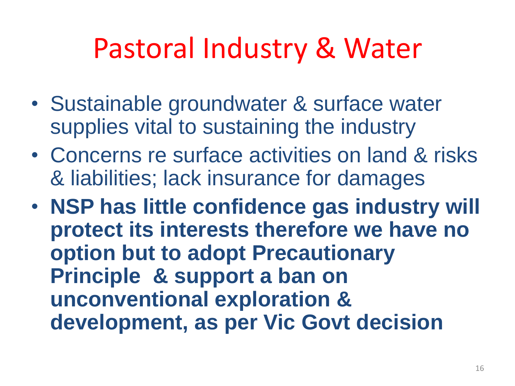# Pastoral Industry & Water

- Sustainable groundwater & surface water supplies vital to sustaining the industry
- Concerns re surface activities on land & risks & liabilities; lack insurance for damages
- **NSP has little confidence gas industry will protect its interests therefore we have no option but to adopt Precautionary Principle & support a ban on unconventional exploration & development, as per Vic Govt decision**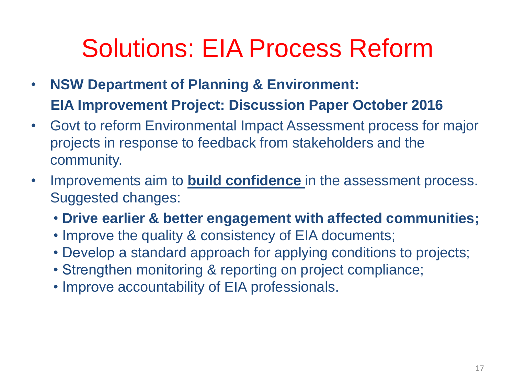## Solutions: EIA Process Reform

- **NSW Department of Planning & Environment: EIA Improvement Project: Discussion Paper October 2016**
- Govt to reform Environmental Impact Assessment process for major projects in response to feedback from stakeholders and the community.
- Improvements aim to **build confidence** in the assessment process. Suggested changes:
	- **Drive earlier & better engagement with affected communities;**
	- Improve the quality & consistency of EIA documents;
	- Develop a standard approach for applying conditions to projects;
	- Strengthen monitoring & reporting on project compliance;
	- Improve accountability of EIA professionals.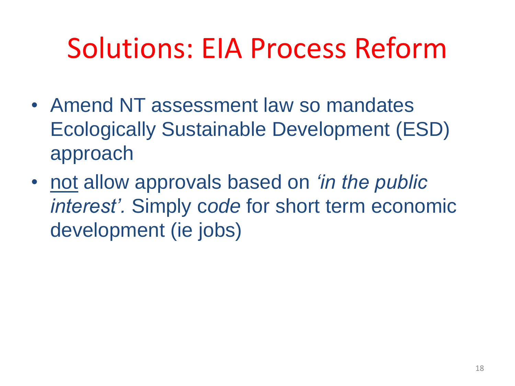# Solutions: EIA Process Reform

- Amend NT assessment law so mandates Ecologically Sustainable Development (ESD) approach
- not allow approvals based on *'in the public interest'.* Simply c*ode* for short term economic development (ie jobs)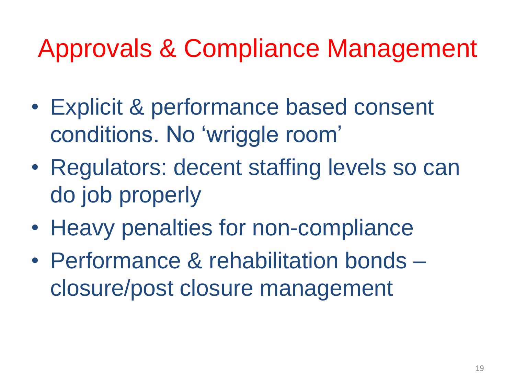## Approvals & Compliance Management

- Explicit & performance based consent conditions. No 'wriggle room'
- Regulators: decent staffing levels so can do job properly
- Heavy penalties for non-compliance
- Performance & rehabilitation bonds closure/post closure management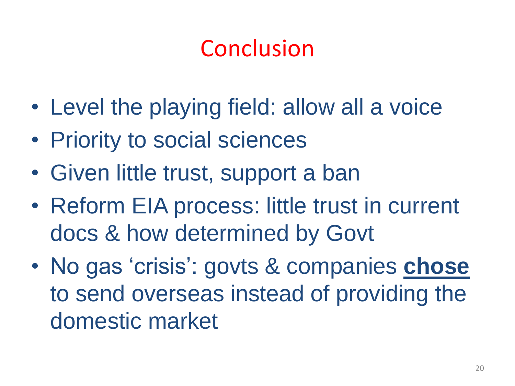#### Conclusion

- Level the playing field: allow all a voice
- Priority to social sciences
- Given little trust, support a ban
- Reform EIA process: little trust in current docs & how determined by Govt
- No gas 'crisis': govts & companies **chose** to send overseas instead of providing the domestic market